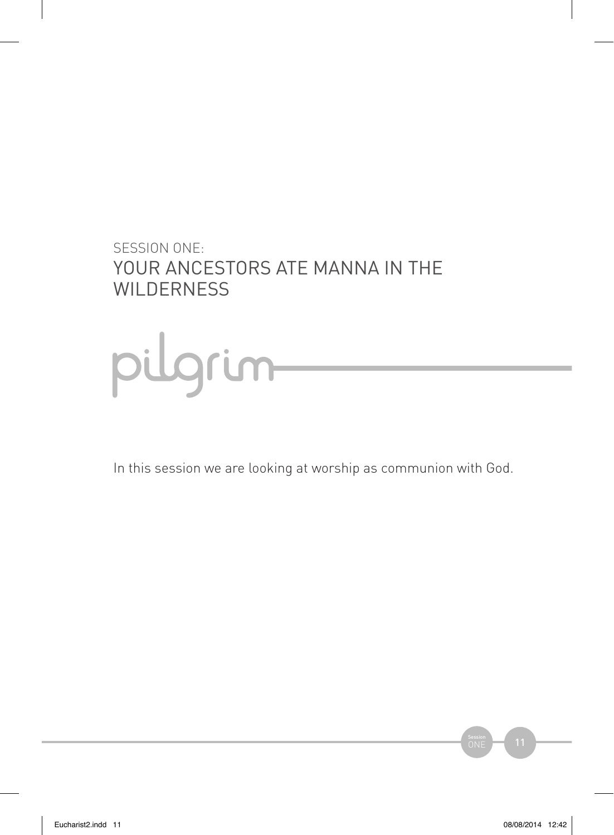### SESSION ONE: YOUR ANCESTORS ATE MANNA IN THE **WILDERNESS**



In this session we are looking at worship as communion with God.

 $ONE$  11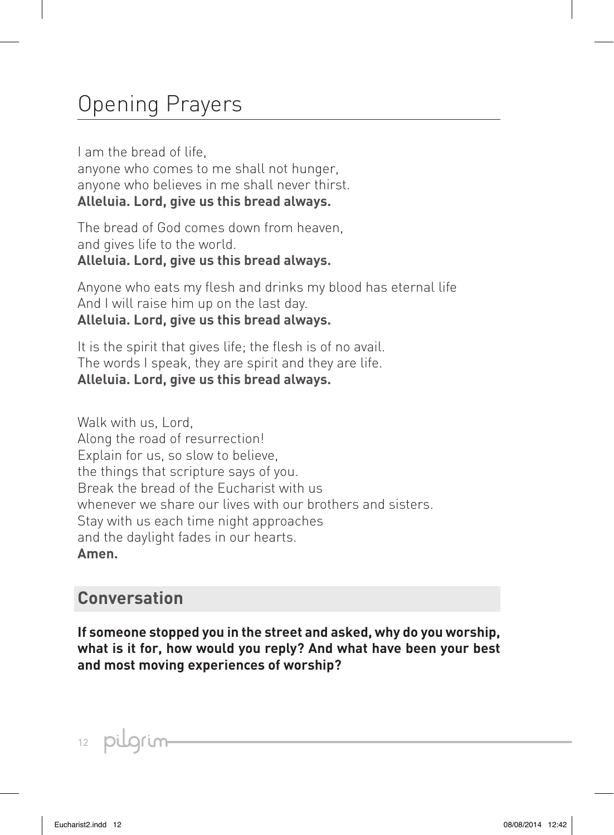# Opening Prayers

I am the bread of life, anyone who comes to me shall not hunger, anyone who believes in me shall never thirst. **Alleluia. Lord, give us this bread always.**

The bread of God comes down from heaven, and gives life to the world. **Alleluia. Lord, give us this bread always.**

Anyone who eats my flesh and drinks my blood has eternal life And I will raise him up on the last day. **Alleluia. Lord, give us this bread always.**

It is the spirit that gives life; the flesh is of no avail. The words I speak, they are spirit and they are life. **Alleluia. Lord, give us this bread always.**

Walk with us, Lord, Along the road of resurrection! Explain for us, so slow to believe, the things that scripture says of you. Break the bread of the Eucharist with us whenever we share our lives with our brothers and sisters. Stay with us each time night approaches and the daylight fades in our hearts. **Amen.**

### **Conversation**

**If someone stopped you in the street and asked, why do you worship, what is it for, how would you reply? And what have been your best and most moving experiences of worship?**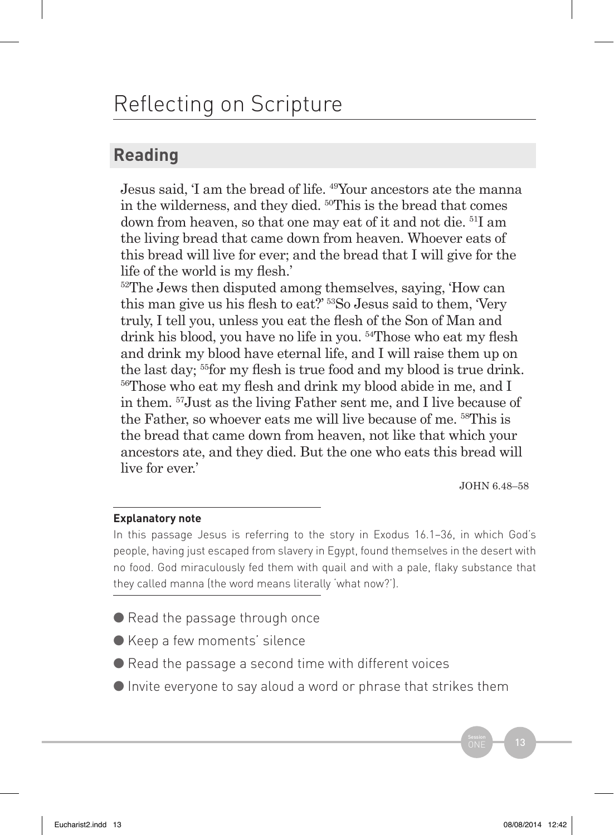# Reflecting on Scripture

### **Reading**

Jesus said, 'I am the bread of life. 49Your ancestors ate the manna in the wilderness, and they died. 50This is the bread that comes down from heaven, so that one may eat of it and not die. 51I am the living bread that came down from heaven. Whoever eats of this bread will live for ever; and the bread that I will give for the life of the world is my flesh.'

<sup>52</sup>The Jews then disputed among themselves, saying, 'How can this man give us his flesh to eat?' 53So Jesus said to them, 'Very truly, I tell you, unless you eat the flesh of the Son of Man and drink his blood, you have no life in you. 54Those who eat my flesh and drink my blood have eternal life, and I will raise them up on the last day; <sup>55</sup>for my flesh is true food and my blood is true drink. <sup>56</sup>Those who eat my flesh and drink my blood abide in me, and I in them. 57Just as the living Father sent me, and I live because of the Father, so whoever eats me will live because of me. 58This is the bread that came down from heaven, not like that which your ancestors ate, and they died. But the one who eats this bread will live for ever.'

JOHN 6.48–58

#### **Explanatory note**

In this passage Jesus is referring to the story in Exodus 16.1–36, in which God's people, having just escaped from slavery in Egypt, found themselves in the desert with no food. God miraculously fed them with quail and with a pale, flaky substance that they called manna (the word means literally 'what now?').

- Read the passage through once
- Keep a few moments' silence
- $\bullet$  Read the passage a second time with different voices
- Invite everyone to say aloud a word or phrase that strikes them

 $S<sub>ession</sub>$  13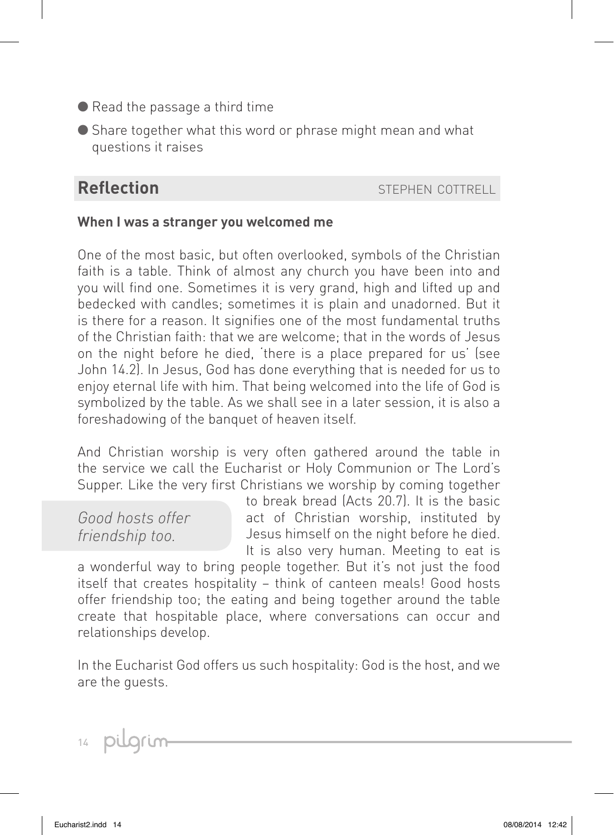- Read the passage a third time
- Share together what this word or phrase might mean and what questions it raises

**Reflection** stephen cottrell

#### **When I was a stranger you welcomed me**

One of the most basic, but often overlooked, symbols of the Christian faith is a table. Think of almost any church you have been into and you will find one. Sometimes it is very grand, high and lifted up and bedecked with candles; sometimes it is plain and unadorned. But it is there for a reason. It signifies one of the most fundamental truths of the Christian faith: that we are welcome; that in the words of Jesus on the night before he died, 'there is a place prepared for us' (see John 14.2). In Jesus, God has done everything that is needed for us to enjoy eternal life with him. That being welcomed into the life of God is symbolized by the table. As we shall see in a later session, it is also a foreshadowing of the banquet of heaven itself.

And Christian worship is very often gathered around the table in the service we call the Eucharist or Holy Communion or The Lord's Supper. Like the very first Christians we worship by coming together

*Good hosts offer friendship too.*

to break bread (Acts 20.7). It is the basic act of Christian worship, instituted by Jesus himself on the night before he died. It is also very human. Meeting to eat is

a wonderful way to bring people together. But it's not just the food itself that creates hospitality – think of canteen meals! Good hosts offer friendship too; the eating and being together around the table create that hospitable place, where conversations can occur and relationships develop.

In the Eucharist God offers us such hospitality: God is the host, and we are the guests.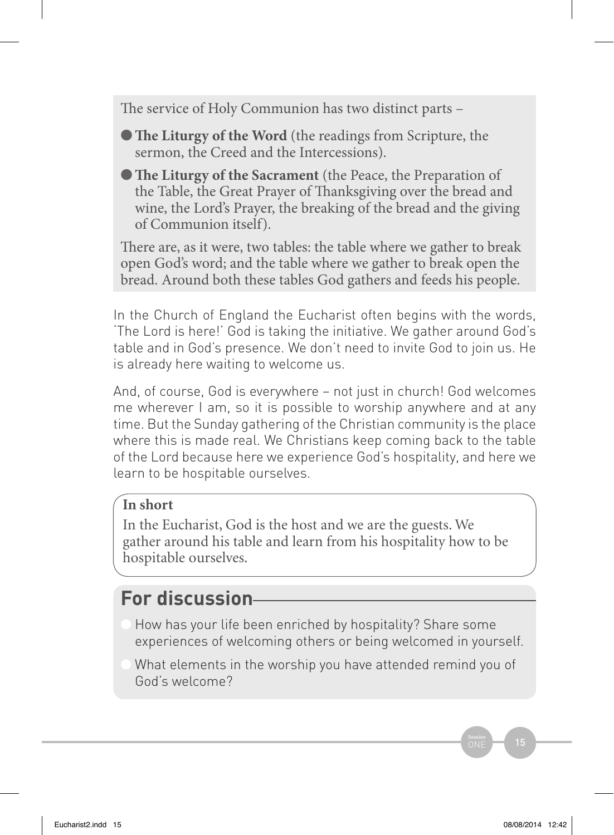The service of Holy Communion has two distinct parts –

**• The Liturgy of the Word** (the readings from Scripture, the sermon, the Creed and the Intercessions).

**• The Liturgy of the Sacrament** (the Peace, the Preparation of the Table, the Great Prayer of Thanksgiving over the bread and wine, the Lord's Prayer, the breaking of the bread and the giving of Communion itself).

There are, as it were, two tables: the table where we gather to break open God's word; and the table where we gather to break open the bread. Around both these tables God gathers and feeds his people.

In the Church of England the Eucharist often begins with the words, 'The Lord is here!' God is taking the initiative. We gather around God's table and in God's presence. We don't need to invite God to join us. He is already here waiting to welcome us.

And, of course, God is everywhere – not just in church! God welcomes me wherever I am, so it is possible to worship anywhere and at any time. But the Sunday gathering of the Christian community is the place where this is made real. We Christians keep coming back to the table of the Lord because here we experience God's hospitality, and here we learn to be hospitable ourselves.

#### **In short**

In the Eucharist, God is the host and we are the guests. We gather around his table and learn from his hospitality how to be hospitable ourselves.

### **For discussion**

- How has your life been enriched by hospitality? Share some experiences of welcoming others or being welcomed in yourself.
- What elements in the worship you have attended remind you of God's welcome?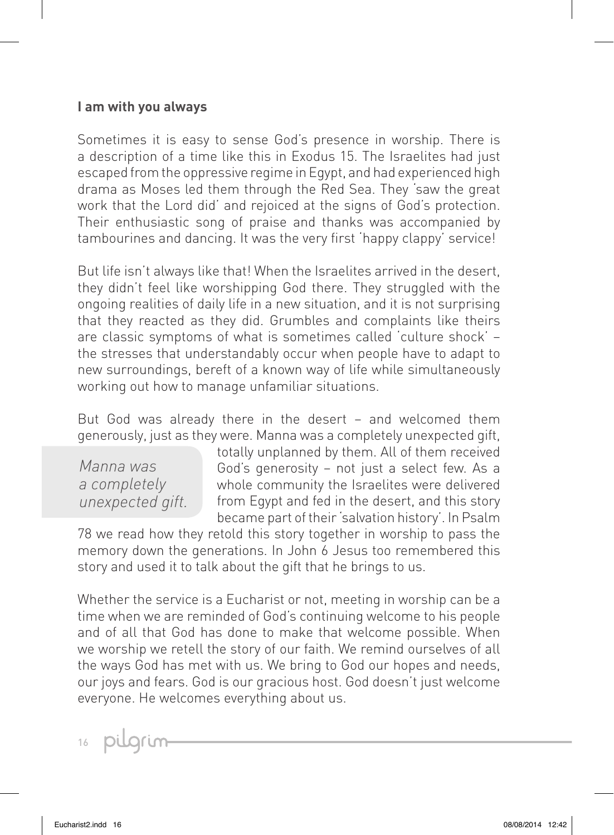#### **I am with you always**

Sometimes it is easy to sense God's presence in worship. There is a description of a time like this in Exodus 15. The Israelites had just escaped from the oppressive regime in Egypt, and had experienced high drama as Moses led them through the Red Sea. They 'saw the great work that the Lord did' and rejoiced at the signs of God's protection. Their enthusiastic song of praise and thanks was accompanied by tambourines and dancing. It was the very first 'happy clappy' service!

But life isn't always like that! When the Israelites arrived in the desert, they didn't feel like worshipping God there. They struggled with the ongoing realities of daily life in a new situation, and it is not surprising that they reacted as they did. Grumbles and complaints like theirs are classic symptoms of what is sometimes called 'culture shock' – the stresses that understandably occur when people have to adapt to new surroundings, bereft of a known way of life while simultaneously working out how to manage unfamiliar situations.

But God was already there in the desert – and welcomed them generously, just as they were. Manna was a completely unexpected gift,

*Manna was a completely unexpected gift.* totally unplanned by them. All of them received God's generosity – not just a select few. As a whole community the Israelites were delivered from Egypt and fed in the desert, and this story became part of their 'salvation history'. In Psalm

78 we read how they retold this story together in worship to pass the memory down the generations. In John 6 Jesus too remembered this story and used it to talk about the gift that he brings to us.

Whether the service is a Eucharist or not, meeting in worship can be a time when we are reminded of God's continuing welcome to his people and of all that God has done to make that welcome possible. When we worship we retell the story of our faith. We remind ourselves of all the ways God has met with us. We bring to God our hopes and needs, our joys and fears. God is our gracious host. God doesn't just welcome everyone. He welcomes everything about us.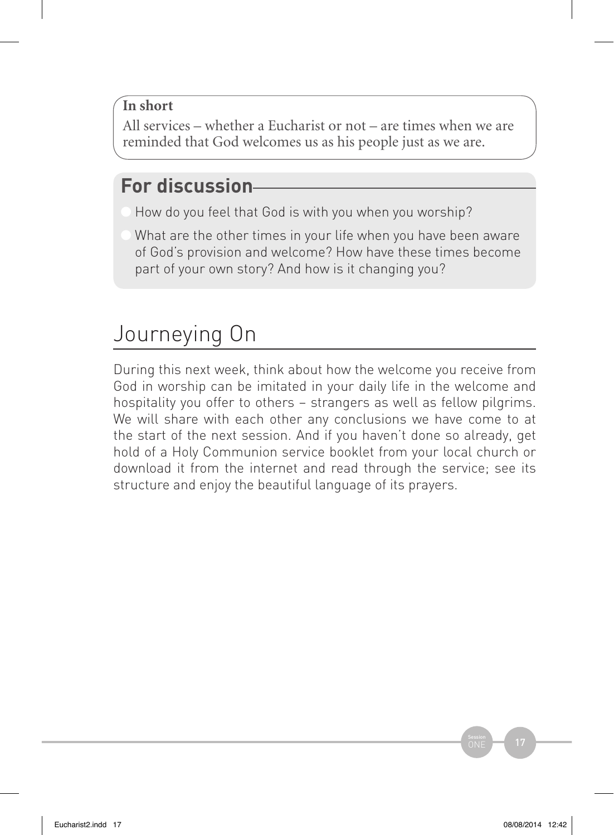### **In short**

All services – whether a Eucharist or not – are times when we are reminded that God welcomes us as his people just as we are.

## **For discussion**

- How do you feel that God is with you when you worship?
- What are the other times in your life when you have been aware of God's provision and welcome? How have these times become part of your own story? And how is it changing you?

# Journeying On

During this next week, think about how the welcome you receive from God in worship can be imitated in your daily life in the welcome and hospitality you offer to others – strangers as well as fellow pilgrims. We will share with each other any conclusions we have come to at the start of the next session. And if you haven't done so already, get hold of a Holy Communion service booklet from your local church or download it from the internet and read through the service; see its structure and enjoy the beautiful language of its prayers.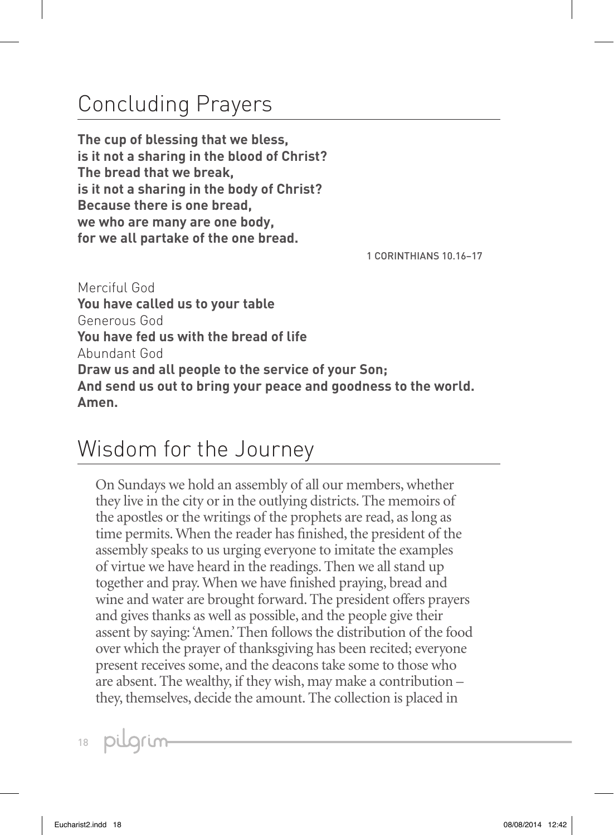# Concluding Prayers

**The cup of blessing that we bless, is it not a sharing in the blood of Christ? The bread that we break, is it not a sharing in the body of Christ? Because there is one bread, we who are many are one body, for we all partake of the one bread.**

1 CORINTHIANS 10.16–17

Merciful God **You have called us to your table** Generous God **You have fed us with the bread of life** Abundant God **Draw us and all people to the service of your Son; And send us out to bring your peace and goodness to the world. Amen.**

# Wisdom for the Journey

On Sundays we hold an assembly of all our members, whether they live in the city or in the outlying districts. The memoirs of the apostles or the writings of the prophets are read, as long as time permits. When the reader has finished, the president of the assembly speaks to us urging everyone to imitate the examples of virtue we have heard in the readings. Then we all stand up together and pray. When we have finished praying, bread and wine and water are brought forward. The president offers prayers and gives thanks as well as possible, and the people give their assent by saying: 'Amen.' Then follows the distribution of the food over which the prayer of thanksgiving has been recited; everyone present receives some, and the deacons take some to those who are absent. The wealthy, if they wish, may make a contribution – they, themselves, decide the amount. The collection is placed in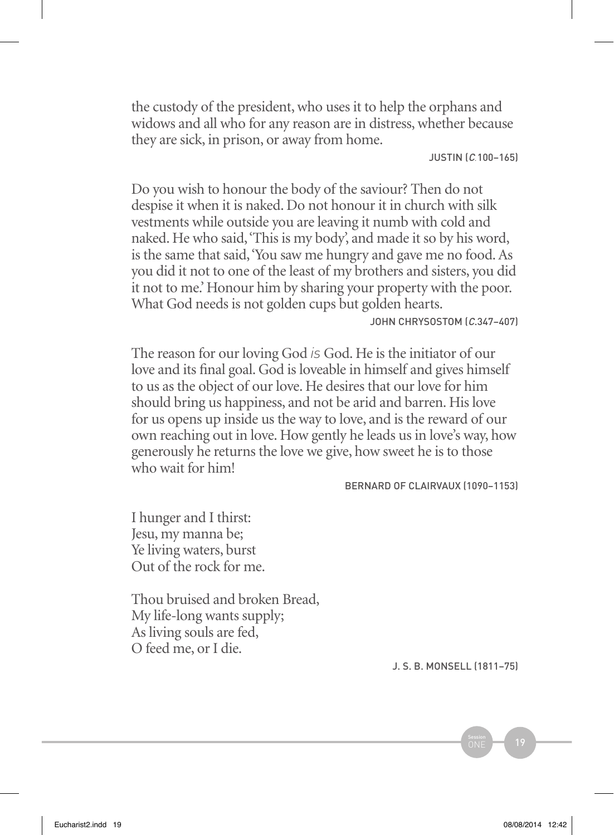the custody of the president, who uses it to help the orphans and widows and all who for any reason are in distress, whether because they are sick, in prison, or away from home.

Justin (c*.*100–165)

Do you wish to honour the body of the saviour? Then do not despise it when it is naked. Do not honour it in church with silk vestments while outside you are leaving it numb with cold and naked. He who said, 'This is my body', and made it so by his word, is the same that said, 'You saw me hungry and gave me no food. As you did it not to one of the least of my brothers and sisters, you did it not to me.' Honour him by sharing your property with the poor. What God needs is not golden cups but golden hearts.

JOHN CHRYSOSTOM (C.347-407)

The reason for our loving God *is* God. He is the initiator of our love and its final goal. God is loveable in himself and gives himself to us as the object of our love. He desires that our love for him should bring us happiness, and not be arid and barren. His love for us opens up inside us the way to love, and is the reward of our own reaching out in love. How gently he leads us in love's way, how generously he returns the love we give, how sweet he is to those who wait for him!

Bernard of Clairvaux (1090–1153)

I hunger and I thirst: Jesu, my manna be; Ye living waters, burst Out of the rock for me.

Thou bruised and broken Bread, My life-long wants supply; As living souls are fed, O feed me, or I die.

J. S. B. Monsell (1811–75)

 $S<sub>ession</sub>$  19